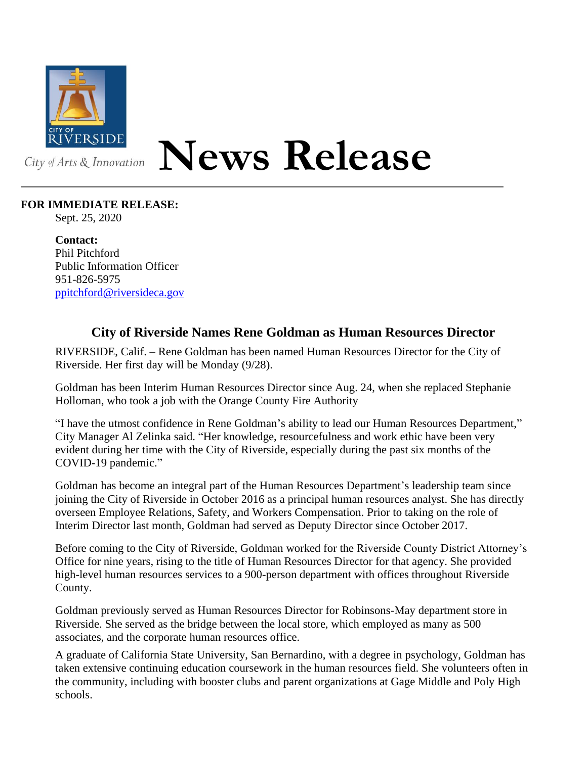

## **News Release**

## **FOR IMMEDIATE RELEASE:**

Sept. 25, 2020

**Contact:** Phil Pitchford Public Information Officer 951-826-5975 [ppitchford@riversideca.gov](mailto:ppitchford@riversideca.gov)

## **City of Riverside Names Rene Goldman as Human Resources Director**

RIVERSIDE, Calif. – Rene Goldman has been named Human Resources Director for the City of Riverside. Her first day will be Monday (9/28).

Goldman has been Interim Human Resources Director since Aug. 24, when she replaced Stephanie Holloman, who took a job with the Orange County Fire Authority

"I have the utmost confidence in Rene Goldman's ability to lead our Human Resources Department," City Manager Al Zelinka said. "Her knowledge, resourcefulness and work ethic have been very evident during her time with the City of Riverside, especially during the past six months of the COVID-19 pandemic."

Goldman has become an integral part of the Human Resources Department's leadership team since joining the City of Riverside in October 2016 as a principal human resources analyst. She has directly overseen Employee Relations, Safety, and Workers Compensation. Prior to taking on the role of Interim Director last month, Goldman had served as Deputy Director since October 2017.

Before coming to the City of Riverside, Goldman worked for the Riverside County District Attorney's Office for nine years, rising to the title of Human Resources Director for that agency. She provided high-level human resources services to a 900-person department with offices throughout Riverside County.

Goldman previously served as Human Resources Director for Robinsons-May department store in Riverside. She served as the bridge between the local store, which employed as many as 500 associates, and the corporate human resources office.

A graduate of California State University, San Bernardino, with a degree in psychology, Goldman has taken extensive continuing education coursework in the human resources field. She volunteers often in the community, including with booster clubs and parent organizations at Gage Middle and Poly High schools.